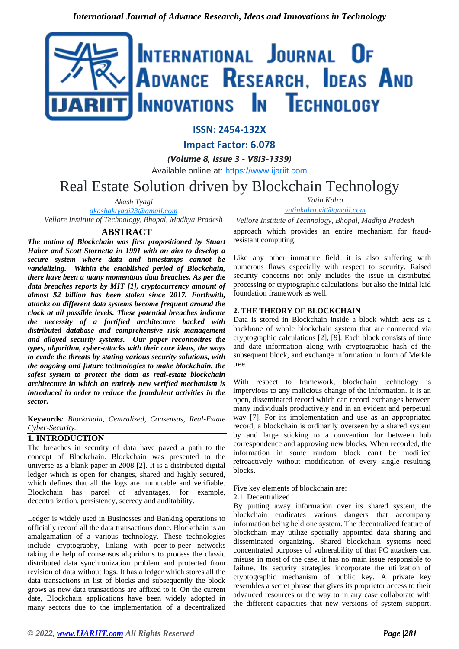

# **ISSN: 2454-132X**

**Impact Factor: 6.078**

*(Volume 8, Issue 3 - V8I3-1339)*

Available online at: [https://www.ijariit.com](https://www.ijariit.com/?utm_source=pdf&utm_medium=edition&utm_campaign=OmAkSols&utm_term=V8I3-1339)

Real Estate Solution driven by Blockchain Technology

*Akash Tyagi [akashaktyagi23@gmail.com](mailto:akashaktyagi23@gmail.com)*

*Vellore Institute of Technology, Bhopal, Madhya Pradesh*

# **ABSTRACT**

*The notion of Blockchain was first propositioned by Stuart Haber and Scott Stornetta in 1991 with an aim to develop a secure system where data and timestamps cannot be vandalizing. Within the established period of Blockchain, there have been a many momentous data breaches. As per the data breaches reports by MIT [1], cryptocurrency amount of almost \$2 billion has been stolen since 2017. Forthwith, attacks on different data systems become frequent around the clock at all possible levels. These potential breaches indicate the necessity of a fortified architecture backed with distributed database and comprehensive risk management and allayed security systems. Our paper reconnoitres the types, algorithm, cyber-attacks with their core ideas, the ways to evade the threats by stating various security solutions, with the ongoing and future technologies to make blockchain, the safest system to protect the data as real-estate blockchain architecture in which an entirely new verified mechanism is introduced in order to reduce the fraudulent activities in the sector.* 

**Keywords***: Blockchain, Centralized, Consensus, Real-Estate Cyber-Security.*

# **1. INTRODUCTION**

The breaches in security of data have paved a path to the concept of Blockchain. Blockchain was presented to the universe as a blank paper in 2008 [2]. It is a distributed digital ledger which is open for changes, shared and highly secured, which defines that all the logs are immutable and verifiable. Blockchain has parcel of advantages, for example, decentralization, persistency, secrecy and auditability.

Ledger is widely used in Businesses and Banking operations to officially record all the data transactions done. Blockchain is an amalgamation of a various technology. These technologies include cryptography, linking with peer-to-peer networks taking the help of consensus algorithms to process the classic distributed data synchronization problem and protected from revision of data without logs. It has a ledger which stores all the data transactions in list of blocks and subsequently the block grows as new data transactions are affixed to it. On the current date, Blockchain applications have been widely adopted in many sectors due to the implementation of a decentralized *Yatin Kalra*

*[yatinkalra.vit@gmail.com](mailto:yatinkalra.vit@gmail.com)*

*Vellore Institute of Technology, Bhopal, Madhya Pradesh* approach which provides an entire mechanism for fraudresistant computing.

Like any other immature field, it is also suffering with numerous flaws especially with respect to security. Raised security concerns not only includes the issue in distributed processing or cryptographic calculations, but also the initial laid foundation framework as well.

### **2. THE THEORY OF BLOCKCHAIN**

Data is stored in Blockchain inside a block which acts as a backbone of whole blockchain system that are connected via cryptographic calculations [2], [9]. Each block consists of time and date information along with cryptographic hash of the subsequent block, and exchange information in form of Merkle tree.

With respect to framework, blockchain technology is impervious to any malicious change of the information. It is an open, disseminated record which can record exchanges between many individuals productively and in an evident and perpetual way [7], For its implementation and use as an appropriated record, a blockchain is ordinarily overseen by a shared system by and large sticking to a convention for between hub correspondence and approving new blocks. When recorded, the information in some random block can't be modified retroactively without modification of every single resulting blocks.

Five key elements of blockchain are:

2.1. Decentralized

By putting away information over its shared system, the blockchain eradicates various dangers that accompany information being held one system. The decentralized feature of blockchain may utilize specially appointed data sharing and disseminated organizing. Shared blockchain systems need concentrated purposes of vulnerability of that PC attackers can misuse in most of the case, it has no main issue responsible to failure. Its security strategies incorporate the utilization of cryptographic mechanism of public key. A private key resembles a secret phrase that gives its proprietor access to their advanced resources or the way to in any case collaborate with the different capacities that new versions of system support.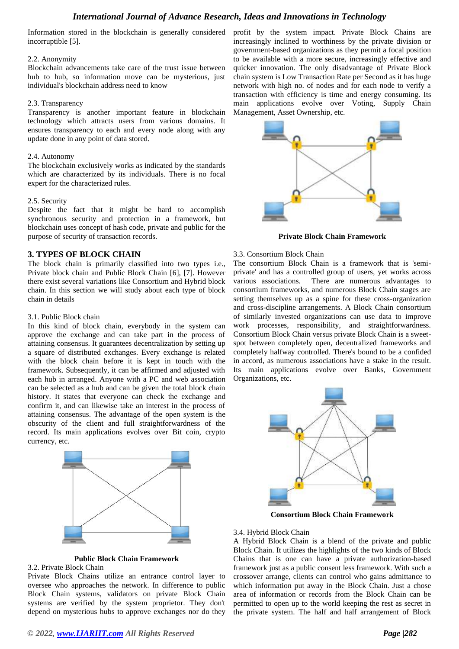Information stored in the blockchain is generally considered incorruptible [5].

#### 2.2. Anonymity

Blockchain advancements take care of the trust issue between hub to hub, so information move can be mysterious, just individual's blockchain address need to know

#### 2.3. Transparency

Transparency is another important feature in blockchain technology which attracts users from various domains. It ensures transparency to each and every node along with any update done in any point of data stored.

#### 2.4. Autonomy

The blockchain exclusively works as indicated by the standards which are characterized by its individuals. There is no focal expert for the characterized rules.

### 2.5. Security

Despite the fact that it might be hard to accomplish synchronous security and protection in a framework, but blockchain uses concept of hash code, private and public for the purpose of security of transaction records.

# **3. TYPES OF BLOCK CHAIN**

The block chain is primarily classified into two types i.e., Private block chain and Public Block Chain [6], [7]. However there exist several variations like Consortium and Hybrid block chain. In this section we will study about each type of block chain in details

#### 3.1. Public Block chain

In this kind of block chain, everybody in the system can approve the exchange and can take part in the process of attaining consensus. It guarantees decentralization by setting up a square of distributed exchanges. Every exchange is related with the block chain before it is kept in touch with the framework. Subsequently, it can be affirmed and adjusted with each hub in arranged. Anyone with a PC and web association can be selected as a hub and can be given the total block chain history. It states that everyone can check the exchange and confirm it, and can likewise take an interest in the process of attaining consensus. The advantage of the open system is the obscurity of the client and full straightforwardness of the record. Its main applications evolves over Bit coin, crypto currency, etc.



### **Public Block Chain Framework**

### 3.2. Private Block Chain

Private Block Chains utilize an entrance control layer to oversee who approaches the network. In difference to public Block Chain systems, validators on private Block Chain systems are verified by the system proprietor. They don't depend on mysterious hubs to approve exchanges nor do they

profit by the system impact. Private Block Chains are increasingly inclined to worthiness by the private division or government-based organizations as they permit a focal position to be available with a more secure, increasingly effective and quicker innovation. The only disadvantage of Private Block chain system is Low Transaction Rate per Second as it has huge network with high no. of nodes and for each node to verify a transaction with efficiency is time and energy consuming. Its main applications evolve over Voting, Supply Chain Management, Asset Ownership, etc.



**Private Block Chain Framework**

#### 3.3. Consortium Block Chain

The consortium Block Chain is a framework that is 'semiprivate' and has a controlled group of users, yet works across various associations. There are numerous advantages to consortium frameworks, and numerous Block Chain stages are setting themselves up as a spine for these cross-organization and cross-discipline arrangements. A Block Chain consortium of similarly invested organizations can use data to improve work processes, responsibility, and straightforwardness. Consortium Block Chain versus private Block Chain is a sweetspot between completely open, decentralized frameworks and completely halfway controlled. There's bound to be a confided in accord, as numerous associations have a stake in the result. Its main applications evolve over Banks, Government Organizations, etc.



**Consortium Block Chain Framework**

#### 3.4. Hybrid Block Chain

A Hybrid Block Chain is a blend of the private and public Block Chain. It utilizes the highlights of the two kinds of Block Chains that is one can have a private authorization-based framework just as a public consent less framework. With such a crossover arrange, clients can control who gains admittance to which information put away in the Block Chain. Just a chose area of information or records from the Block Chain can be permitted to open up to the world keeping the rest as secret in the private system. The half and half arrangement of Block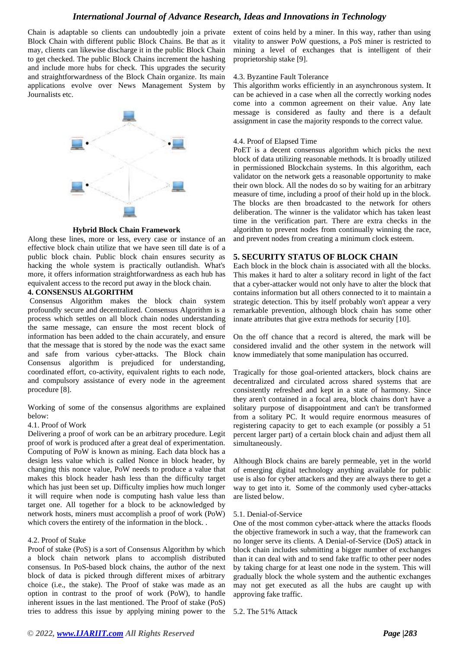Chain is adaptable so clients can undoubtedly join a private Block Chain with different public Block Chains. Be that as it may, clients can likewise discharge it in the public Block Chain to get checked. The public Block Chains increment the hashing and include more hubs for check. This upgrades the security and straightforwardness of the Block Chain organize. Its main applications evolve over News Management System by Journalists etc.



#### **Hybrid Block Chain Framework**

Along these lines, more or less, every case or instance of an effective block chain utilize that we have seen till date is of a public block chain. Public block chain ensures security as hacking the whole system is practically outlandish. What's more, it offers information straightforwardness as each hub has equivalent access to the record put away in the block chain.

#### **4. CONSENSUS ALGORITHM**

Consensus Algorithm makes the block chain system profoundly secure and decentralized. Consensus Algorithm is a process which settles on all block chain nodes understanding the same message, can ensure the most recent block of information has been added to the chain accurately, and ensure that the message that is stored by the node was the exact same and safe from various cyber-attacks. The Block chain Consensus algorithm is prejudiced for understanding, coordinated effort, co-activity, equivalent rights to each node, and compulsory assistance of every node in the agreement procedure [8].

Working of some of the consensus algorithms are explained below:

### 4.1. Proof of Work

Delivering a proof of work can be an arbitrary procedure. Legit proof of work is produced after a great deal of experimentation. Computing of PoW is known as mining. Each data block has a design less value which is called Nonce in block header, by changing this nonce value, PoW needs to produce a value that makes this block header hash less than the difficulty target which has just been set up. Difficulty implies how much longer it will require when node is computing hash value less than target one. All together for a block to be acknowledged by network hosts, miners must accomplish a proof of work (PoW) which covers the entirety of the information in the block. .

#### 4.2. Proof of Stake

Proof of stake (PoS) is a sort of Consensus Algorithm by which a block chain network plans to accomplish distributed consensus. In PoS-based block chains, the author of the next block of data is picked through different mixes of arbitrary choice (i.e., the stake). The Proof of stake was made as an option in contrast to the proof of work (PoW), to handle inherent issues in the last mentioned. The Proof of stake (PoS) tries to address this issue by applying mining power to the extent of coins held by a miner. In this way, rather than using vitality to answer PoW questions, a PoS miner is restricted to mining a level of exchanges that is intelligent of their proprietorship stake [9].

#### 4.3. Byzantine Fault Tolerance

This algorithm works efficiently in an asynchronous system. It can be achieved in a case when all the correctly working nodes come into a common agreement on their value. Any late message is considered as faulty and there is a default assignment in case the majority responds to the correct value.

#### 4.4. Proof of Elapsed Time

PoET is a decent consensus algorithm which picks the next block of data utilizing reasonable methods. It is broadly utilized in permissioned Blockchain systems. In this algorithm, each validator on the network gets a reasonable opportunity to make their own block. All the nodes do so by waiting for an arbitrary measure of time, including a proof of their hold up in the block. The blocks are then broadcasted to the network for others deliberation. The winner is the validator which has taken least time in the verification part. There are extra checks in the algorithm to prevent nodes from continually winning the race, and prevent nodes from creating a minimum clock esteem.

# **5. SECURITY STATUS OF BLOCK CHAIN**

Each block in the block chain is associated with all the blocks. This makes it hard to alter a solitary record in light of the fact that a cyber-attacker would not only have to alter the block that contains information but all others connected to it to maintain a strategic detection. This by itself probably won't appear a very remarkable prevention, although block chain has some other innate attributes that give extra methods for security [10].

On the off chance that a record is altered, the mark will be considered invalid and the other system in the network will know immediately that some manipulation has occurred.

Tragically for those goal-oriented attackers, block chains are decentralized and circulated across shared systems that are consistently refreshed and kept in a state of harmony. Since they aren't contained in a focal area, block chains don't have a solitary purpose of disappointment and can't be transformed from a solitary PC. It would require enormous measures of registering capacity to get to each example (or possibly a 51 percent larger part) of a certain block chain and adjust them all simultaneously.

Although Block chains are barely permeable, yet in the world of emerging digital technology anything available for public use is also for cyber attackers and they are always there to get a way to get into it. Some of the commonly used cyber-attacks are listed below.

### 5.1. Denial-of-Service

One of the most common cyber-attack where the attacks floods the objective framework in such a way, that the framework can no longer serve its clients. A Denial-of-Service (DoS) attack in block chain includes submitting a bigger number of exchanges than it can deal with and to send fake traffic to other peer nodes by taking charge for at least one node in the system. This will gradually block the whole system and the authentic exchanges may not get executed as all the hubs are caught up with approving fake traffic.

5.2. The 51% Attack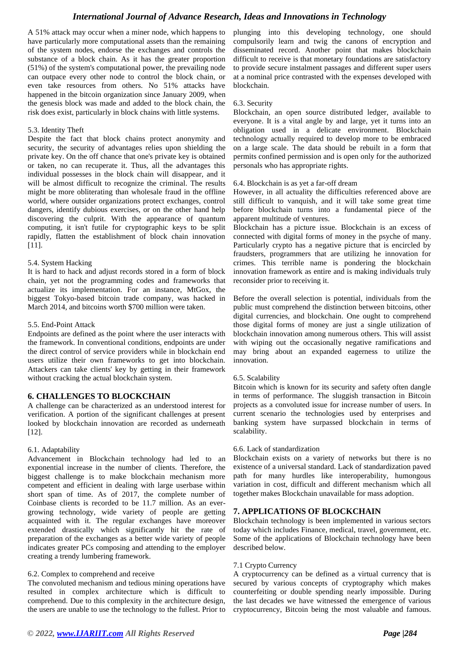A 51% attack may occur when a miner node, which happens to have particularly more computational assets than the remaining of the system nodes, endorse the exchanges and controls the substance of a block chain. As it has the greater proportion (51%) of the system's computational power, the prevailing node can outpace every other node to control the block chain, or even take resources from others. No 51% attacks have happened in the bitcoin organization since January 2009, when the genesis block was made and added to the block chain, the risk does exist, particularly in block chains with little systems.

#### 5.3. Identity Theft

Despite the fact that block chains protect anonymity and security, the security of advantages relies upon shielding the private key. On the off chance that one's private key is obtained or taken, no can recuperate it. Thus, all the advantages this individual possesses in the block chain will disappear, and it will be almost difficult to recognize the criminal. The results might be more obliterating than wholesale fraud in the offline world, where outsider organizations protect exchanges, control dangers, identify dubious exercises, or on the other hand help discovering the culprit. With the appearance of quantum computing, it isn't futile for cryptographic keys to be split rapidly, flatten the establishment of block chain innovation [11].

#### 5.4. System Hacking

It is hard to hack and adjust records stored in a form of block chain, yet not the programming codes and frameworks that actualize its implementation. For an instance, MtGox, the biggest Tokyo-based bitcoin trade company, was hacked in March 2014, and bitcoins worth \$700 million were taken.

#### 5.5. End-Point Attack

Endpoints are defined as the point where the user interacts with the framework. In conventional conditions, endpoints are under the direct control of service providers while in blockchain end users utilize their own frameworks to get into blockchain. Attackers can take clients' key by getting in their framework without cracking the actual blockchain system.

### **6. CHALLENGES TO BLOCKCHAIN**

A challenge can be characterized as an understood interest for verification. A portion of the significant challenges at present looked by blockchain innovation are recorded as underneath [12].

### 6.1. Adaptability

Advancement in Blockchain technology had led to an exponential increase in the number of clients. Therefore, the biggest challenge is to make blockchain mechanism more competent and efficient in dealing with large userbase within short span of time. As of 2017, the complete number of Coinbase clients is recorded to be 11.7 million. As an evergrowing technology, wide variety of people are getting acquainted with it. The regular exchanges have moreover extended drastically which significantly hit the rate of preparation of the exchanges as a better wide variety of people indicates greater PCs composing and attending to the employer creating a trendy lumbering framework.

### 6.2. Complex to comprehend and receive

The convoluted mechanism and tedious mining operations have resulted in complex architecture which is difficult to comprehend. Due to this complexity in the architecture design, the users are unable to use the technology to the fullest. Prior to plunging into this developing technology, one should compulsorily learn and twig the canons of encryption and disseminated record. Another point that makes blockchain difficult to receive is that monetary foundations are satisfactory to provide secure instalment passages and different super users at a nominal price contrasted with the expenses developed with blockchain.

#### 6.3. Security

Blockchain, an open source distributed ledger, available to everyone. It is a vital angle by and large, yet it turns into an obligation used in a delicate environment. Blockchain technology actually required to develop more to be embraced on a large scale. The data should be rebuilt in a form that permits confined permission and is open only for the authorized personals who has appropriate rights.

#### 6.4. Blockchain is as yet a far-off dream

However, in all actuality the difficulties referenced above are still difficult to vanquish, and it will take some great time before blockchain turns into a fundamental piece of the apparent multitude of ventures.

Blockchain has a picture issue. Blockchain is an excess of connected with digital forms of money in the psyche of many. Particularly crypto has a negative picture that is encircled by fraudsters, programmers that are utilizing he innovation for crimes. This terrible name is pondering the blockchain innovation framework as entire and is making individuals truly reconsider prior to receiving it.

Before the overall selection is potential, individuals from the public must comprehend the distinction between bitcoins, other digital currencies, and blockchain. One ought to comprehend those digital forms of money are just a single utilization of blockchain innovation among numerous others. This will assist with wiping out the occasionally negative ramifications and may bring about an expanded eagerness to utilize the innovation.

#### 6.5. Scalability

Bitcoin which is known for its security and safety often dangle in terms of performance. The sluggish transaction in Bitcoin projects as a convoluted issue for increase number of users. In current scenario the technologies used by enterprises and banking system have surpassed blockchain in terms of scalability.

#### 6.6. Lack of standardization

Blockchain exists on a variety of networks but there is no existence of a universal standard. Lack of standardization paved path for many hurdles like interoperability, humongous variation in cost, difficult and different mechanism which all together makes Blockchain unavailable for mass adoption.

### **7. APPLICATIONS OF BLOCKCHAIN**

Blockchain technology is been implemented in various sectors today which includes Finance, medical, travel, government, etc. Some of the applications of Blockchain technology have been described below.

### 7.1 Crypto Currency

A cryptocurrency can be defined as a virtual currency that is secured by various concepts of cryptography which makes counterfeiting or double spending nearly impossible. During the last decades we have witnessed the emergence of various cryptocurrency, Bitcoin being the most valuable and famous.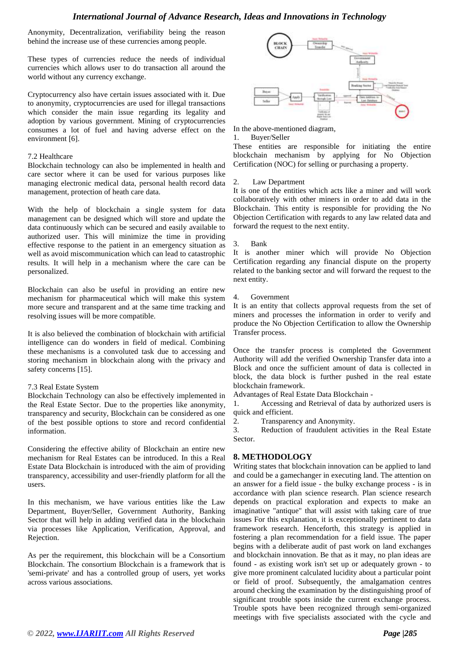Anonymity, Decentralization, verifiability being the reason behind the increase use of these currencies among people.

These types of currencies reduce the needs of individual currencies which allows user to do transaction all around the world without any currency exchange.

Cryptocurrency also have certain issues associated with it. Due to anonymity, cryptocurrencies are used for illegal transactions which consider the main issue regarding its legality and adoption by various government. Mining of cryptocurrencies consumes a lot of fuel and having adverse effect on the environment [6].

#### 7.2 Healthcare

Blockchain technology can also be implemented in health and care sector where it can be used for various purposes like managing electronic medical data, personal health record data management, protection of heath care data.

With the help of blockchain a single system for data management can be designed which will store and update the data continuously which can be secured and easily available to authorized user. This will minimize the time in providing effective response to the patient in an emergency situation as well as avoid miscommunication which can lead to catastrophic results. It will help in a mechanism where the care can be personalized.

Blockchain can also be useful in providing an entire new mechanism for pharmaceutical which will make this system more secure and transparent and at the same time tracking and resolving issues will be more compatible.

It is also believed the combination of blockchain with artificial intelligence can do wonders in field of medical. Combining these mechanisms is a convoluted task due to accessing and storing mechanism in blockchain along with the privacy and safety concerns [15].

### 7.3 Real Estate System

Blockchain Technology can also be effectively implemented in the Real Estate Sector. Due to the properties like anonymity, transparency and security, Blockchain can be considered as one of the best possible options to store and record confidential information.

Considering the effective ability of Blockchain an entire new mechanism for Real Estates can be introduced. In this a Real Estate Data Blockchain is introduced with the aim of providing transparency, accessibility and user-friendly platform for all the users.

In this mechanism, we have various entities like the Law Department, Buyer/Seller, Government Authority, Banking Sector that will help in adding verified data in the blockchain via processes like Application, Verification, Approval, and Rejection.

As per the requirement, this blockchain will be a Consortium Blockchain. The consortium Blockchain is a framework that is 'semi-private' and has a controlled group of users, yet works across various associations.



In the above-mentioned diagram,

#### 1. Buyer/Seller

These entities are responsible for initiating the entire blockchain mechanism by applying for No Objection Certification (NOC) for selling or purchasing a property.

#### 2. Law Department

It is one of the entities which acts like a miner and will work collaboratively with other miners in order to add data in the Blockchain. This entity is responsible for providing the No Objection Certification with regards to any law related data and forward the request to the next entity.

### 3. Bank

It is another miner which will provide No Objection Certification regarding any financial dispute on the property related to the banking sector and will forward the request to the next entity.

4. Government

It is an entity that collects approval requests from the set of miners and processes the information in order to verify and produce the No Objection Certification to allow the Ownership Transfer process.

Once the transfer process is completed the Government Authority will add the verified Ownership Transfer data into a Block and once the sufficient amount of data is collected in block, the data block is further pushed in the real estate blockchain framework.

Advantages of Real Estate Data Blockchain -

1. Accessing and Retrieval of data by authorized users is quick and efficient.

2. Transparency and Anonymity.

3. Reduction of fraudulent activities in the Real Estate Sector.

# **8. METHODOLOGY**

Writing states that blockchain innovation can be applied to land and could be a gamechanger in executing land. The attention on an answer for a field issue - the bulky exchange process - is in accordance with plan science research. Plan science research depends on practical exploration and expects to make an imaginative "antique" that will assist with taking care of true issues For this explanation, it is exceptionally pertinent to data framework research. Henceforth, this strategy is applied in fostering a plan recommendation for a field issue. The paper begins with a deliberate audit of past work on land exchanges and blockchain innovation. Be that as it may, no plan ideas are found - as existing work isn't set up or adequately grown - to give more prominent calculated lucidity about a particular point or field of proof. Subsequently, the amalgamation centres around checking the examination by the distinguishing proof of significant trouble spots inside the current exchange process. Trouble spots have been recognized through semi-organized meetings with five specialists associated with the cycle and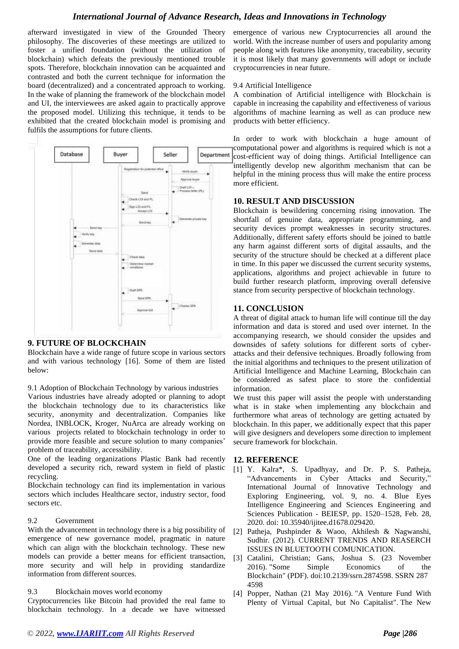afterward investigated in view of the Grounded Theory philosophy. The discoveries of these meetings are utilized to foster a unified foundation (without the utilization of blockchain) which defeats the previously mentioned trouble spots. Therefore, blockchain innovation can be acquainted and contrasted and both the current technique for information the board (decentralized) and a concentrated approach to working. In the wake of planning the framework of the blockchain model and UI, the interviewees are asked again to practically approve the proposed model. Utilizing this technique, it tends to be exhibited that the created blockchain model is promising and fulfils the assumptions for future clients.



### **9. FUTURE OF BLOCKCHAIN**

Blockchain have a wide range of future scope in various sectors and with various technology [16]. Some of them are listed below:

9.1 Adoption of Blockchain Technology by various industries

Various industries have already adopted or planning to adopt the blockchain technology due to its characteristics like security, anonymity and decentralization. Companies like Nordea, INBLOCK, Kroger, NuArca are already working on various projects related to blockchain technology in order to provide more feasible and secure solution to many companies' problem of traceability, accessibility.

One of the leading organizations Plastic Bank had recently developed a security rich, reward system in field of plastic recycling.

Blockchain technology can find its implementation in various sectors which includes Healthcare sector, industry sector, food sectors etc.

### 9.2 Government

With the advancement in technology there is a big possibility of emergence of new governance model, pragmatic in nature which can align with the blockchain technology. These new models can provide a better means for efficient transaction, more security and will help in providing standardize information from different sources.

#### 9.3 Blockchain moves world economy

Cryptocurrencies like Bitcoin had provided the real fame to blockchain technology. In a decade we have witnessed emergence of various new Cryptocurrencies all around the world. With the increase number of users and popularity among people along with features like anonymity, traceability, security it is most likely that many governments will adopt or include cryptocurrencies in near future.

### 9.4 Artificial Intelligence

A combination of Artificial intelligence with Blockchain is capable in increasing the capability and effectiveness of various algorithms of machine learning as well as can produce new products with better efficiency.

In order to work with blockchain a huge amount of computational power and algorithms is required which is not a cost-efficient way of doing things. Artificial Intelligence can intelligently develop new algorithm mechanism that can be helpful in the mining process thus will make the entire process more efficient.

# **10. RESULT AND DISCUSSION**

Blockchain is bewildering concerning rising innovation. The shortfall of genuine data, appropriate programming, and security devices prompt weaknesses in security structures. Additionally, different safety efforts should be joined to battle any harm against different sorts of digital assaults, and the security of the structure should be checked at a different place in time. In this paper we discussed the current security systems, applications, algorithms and project achievable in future to build further research platform, improving overall defensive stance from security perspective of blockchain technology.

### **11. CONCLUSION**

A threat of digital attack to human life will continue till the day information and data is stored and used over internet. In the accompanying research, we should consider the upsides and downsides of safety solutions for different sorts of cyberattacks and their defensive techniques. Broadly following from the initial algorithms and techniques to the present utilization of Artificial Intelligence and Machine Learning, Blockchain can be considered as safest place to store the confidential information.

We trust this paper will assist the people with understanding what is in stake when implementing any blockchain and furthermore what areas of technology are getting actuated by blockchain. In this paper, we additionally expect that this paper will give designers and developers some direction to implement secure framework for blockchain.

### **12. REFERENCE**

- [1] Y. Kalra\*, S. Upadhyay, and Dr. P. S. Patheja, "Advancements in Cyber Attacks and Security," International Journal of Innovative Technology and Exploring Engineering, vol. 9, no. 4. Blue Eyes Intelligence Engineering and Sciences Engineering and Sciences Publication - BEIESP, pp. 1520–1528, Feb. 28, 2020. doi: 10.35940/ijitee.d1678.029420.
- [2] Patheja, Pushpinder & Waoo, Akhilesh & Nagwanshi, Sudhir. (2012). CURRENT TRENDS AND REASERCH ISSUES IN BLUETOOTH COMUNICATION.
- [3] Catalini, Christian; Gans, Joshua S. (23 November 2016). ["Some Simple Economics of the](http://www.nber.org/papers/w22952.pdf)  [Blockchain"](http://www.nber.org/papers/w22952.pdf) (PDF). [doi](https://en.wikipedia.org/wiki/Doi_(identifier))[:10.2139/ssrn.2874598.](https://doi.org/10.2139%2Fssrn.2874598) [SSRN](https://en.wikipedia.org/wiki/SSRN_(identifier)) [287](https://ssrn.com/abstract=2874598) [4598](https://ssrn.com/abstract=2874598)
- [4] Popper, Nathan (21 May 2016). ["A Venture Fund With](https://www.nytimes.com/2016/05/22/business/dealbook/crypto-ether-bitcoin-currency.html)  [Plenty of Virtual Capital, but No Capitalist".](https://www.nytimes.com/2016/05/22/business/dealbook/crypto-ether-bitcoin-currency.html) [The New](https://en.wikipedia.org/wiki/The_New_York_Times)